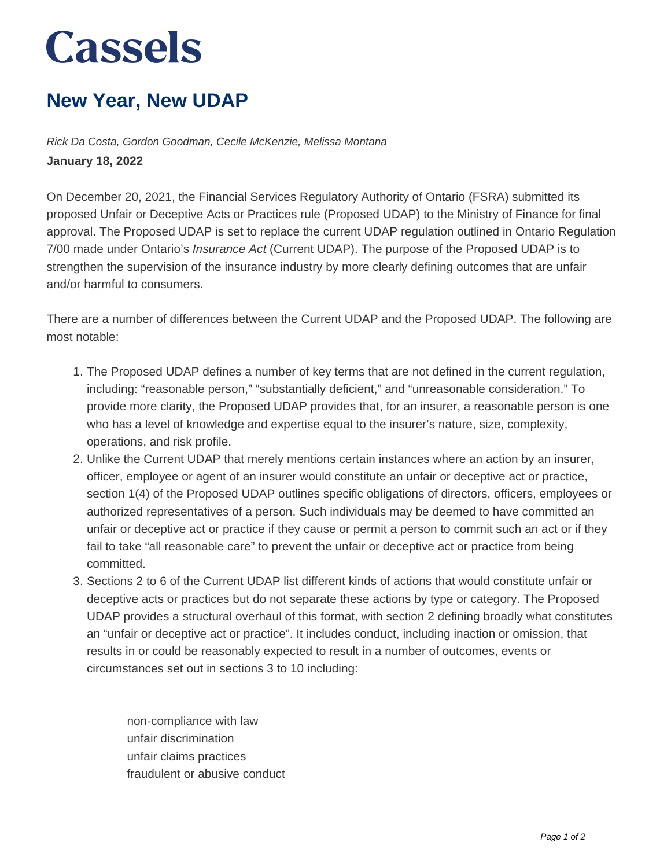## **Cassels**

## **New Year, New UDAP**

Rick Da Costa, Gordon Goodman, Cecile McKenzie, Melissa Montana **January 18, 2022**

On December 20, 2021, the Financial Services Regulatory Authority of Ontario (FSRA) submitted its proposed Unfair or Deceptive Acts or Practices rule (Proposed UDAP) to the Ministry of Finance for final approval. The Proposed UDAP is set to replace the current UDAP regulation outlined in Ontario Regulation 7/00 made under Ontario's Insurance Act (Current UDAP). The purpose of the Proposed UDAP is to strengthen the supervision of the insurance industry by more clearly defining outcomes that are unfair and/or harmful to consumers.

There are a number of differences between the Current UDAP and the Proposed UDAP. The following are most notable:

- 1. The Proposed UDAP defines a number of key terms that are not defined in the current regulation, including: "reasonable person," "substantially deficient," and "unreasonable consideration." To provide more clarity, the Proposed UDAP provides that, for an insurer, a reasonable person is one who has a level of knowledge and expertise equal to the insurer's nature, size, complexity, operations, and risk profile.
- 2. Unlike the Current UDAP that merely mentions certain instances where an action by an insurer, officer, employee or agent of an insurer would constitute an unfair or deceptive act or practice, section 1(4) of the Proposed UDAP outlines specific obligations of directors, officers, employees or authorized representatives of a person. Such individuals may be deemed to have committed an unfair or deceptive act or practice if they cause or permit a person to commit such an act or if they fail to take "all reasonable care" to prevent the unfair or deceptive act or practice from being committed.
- 3. Sections 2 to 6 of the Current UDAP list different kinds of actions that would constitute unfair or deceptive acts or practices but do not separate these actions by type or category. The Proposed UDAP provides a structural overhaul of this format, with section 2 defining broadly what constitutes an "unfair or deceptive act or practice". It includes conduct, including inaction or omission, that results in or could be reasonably expected to result in a number of outcomes, events or circumstances set out in sections 3 to 10 including:

non-compliance with law unfair discrimination unfair claims practices fraudulent or abusive conduct